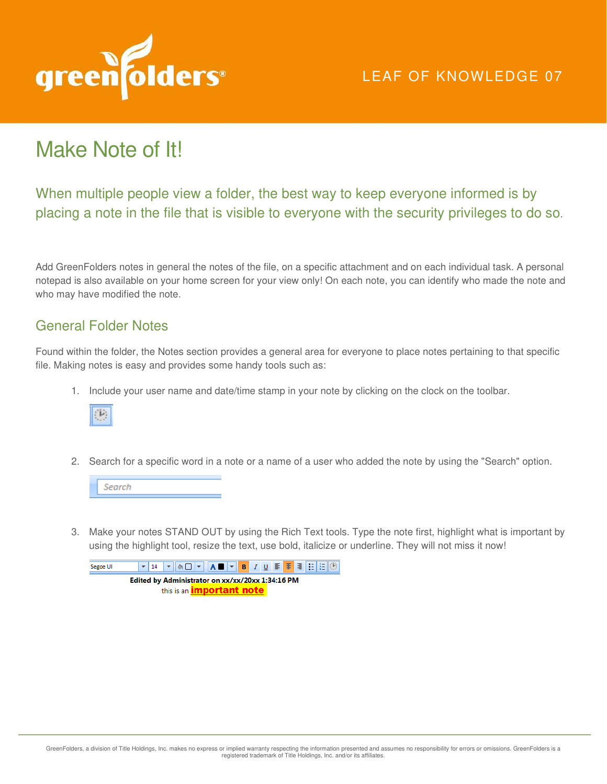

## Make Note of It!

When multiple people view a folder, the best way to keep everyone informed is by placing a note in the file that is visible to everyone with the security privileges to do so.

Add GreenFolders notes in general the notes of the file, on a specific attachment and on each individual task. A personal notepad is also available on your home screen for your view only! On each note, you can identify who made the note and who may have modified the note.

## General Folder Notes

Found within the folder, the Notes section provides a general area for everyone to place notes pertaining to that specific file. Making notes is easy and provides some handy tools such as:

1. Include your user name and date/time stamp in your note by clicking on the clock on the toolbar.



2. Search for a specific word in a note or a name of a user who added the note by using the "Search" option.



3. Make your notes STAND OUT by using the Rich Text tools. Type the note first, highlight what is important by using the highlight tool, resize the text, use bold, italicize or underline. They will not miss it now!